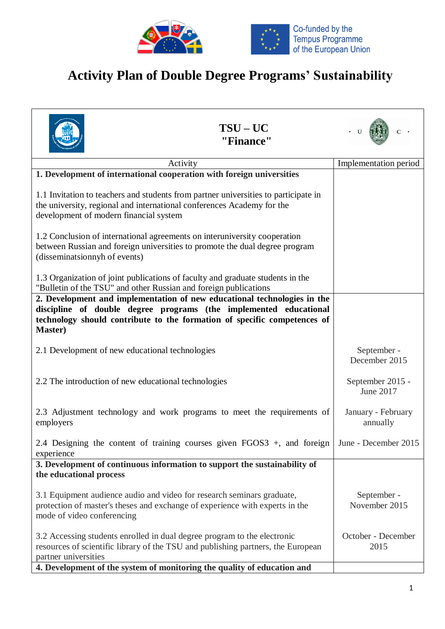

## **Activity Plan of Double Degree Programs' Sustainability**

|                                                      | $TSU-UC$<br>"Finance"                                                                                                                                                                                                                   |                                |
|------------------------------------------------------|-----------------------------------------------------------------------------------------------------------------------------------------------------------------------------------------------------------------------------------------|--------------------------------|
|                                                      | Activity                                                                                                                                                                                                                                | Implementation period          |
|                                                      | 1. Development of international cooperation with foreign universities                                                                                                                                                                   |                                |
| development of modern financial system               | 1.1 Invitation to teachers and students from partner universities to participate in<br>the university, regional and international conferences Academy for the                                                                           |                                |
| (disseminatsionnyh of events)                        | 1.2 Conclusion of international agreements on interuniversity cooperation<br>between Russian and foreign universities to promote the dual degree program                                                                                |                                |
|                                                      | 1.3 Organization of joint publications of faculty and graduate students in the<br>"Bulletin of the TSU" and other Russian and foreign publications                                                                                      |                                |
| <b>Master</b> )                                      | 2. Development and implementation of new educational technologies in the<br>discipline of double degree programs (the implemented educational<br>technology should contribute to the formation of specific competences of               |                                |
| 2.1 Development of new educational technologies      |                                                                                                                                                                                                                                         | September -<br>December 2015   |
| 2.2 The introduction of new educational technologies |                                                                                                                                                                                                                                         | September 2015 -<br>June 2017  |
| employers                                            | 2.3 Adjustment technology and work programs to meet the requirements of                                                                                                                                                                 | January - February<br>annually |
| experience                                           | 2.4 Designing the content of training courses given FGOS3 +, and foreign   June - December 2015                                                                                                                                         |                                |
| the educational process                              | 3. Development of continuous information to support the sustainability of                                                                                                                                                               |                                |
| mode of video conferencing                           | 3.1 Equipment audience audio and video for research seminars graduate,<br>protection of master's theses and exchange of experience with experts in the                                                                                  | September -<br>November 2015   |
| partner universities                                 | 3.2 Accessing students enrolled in dual degree program to the electronic<br>resources of scientific library of the TSU and publishing partners, the European<br>4. Development of the system of monitoring the quality of education and | October - December<br>2015     |
|                                                      |                                                                                                                                                                                                                                         |                                |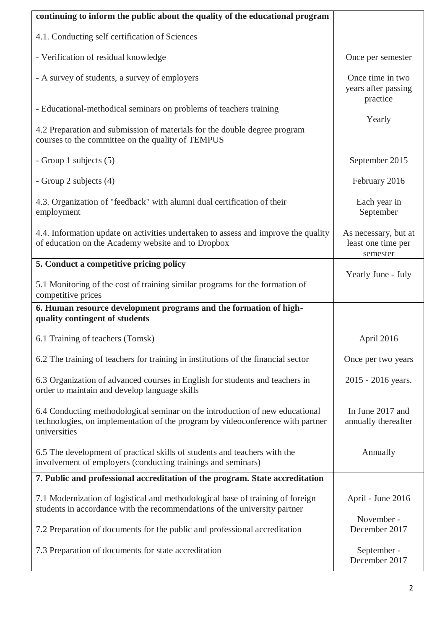| continuing to inform the public about the quality of the educational program                                                                                                   |                                                        |
|--------------------------------------------------------------------------------------------------------------------------------------------------------------------------------|--------------------------------------------------------|
| 4.1. Conducting self certification of Sciences                                                                                                                                 |                                                        |
| - Verification of residual knowledge                                                                                                                                           | Once per semester                                      |
| - A survey of students, a survey of employers                                                                                                                                  | Once time in two<br>years after passing<br>practice    |
| - Educational-methodical seminars on problems of teachers training                                                                                                             | Yearly                                                 |
| 4.2 Preparation and submission of materials for the double degree program<br>courses to the committee on the quality of TEMPUS                                                 |                                                        |
| - Group 1 subjects (5)                                                                                                                                                         | September 2015                                         |
| - Group 2 subjects (4)                                                                                                                                                         | February 2016                                          |
| 4.3. Organization of "feedback" with alumni dual certification of their<br>employment                                                                                          | Each year in<br>September                              |
| 4.4. Information update on activities undertaken to assess and improve the quality<br>of education on the Academy website and to Dropbox                                       | As necessary, but at<br>least one time per<br>semester |
| 5. Conduct a competitive pricing policy                                                                                                                                        | Yearly June - July                                     |
| 5.1 Monitoring of the cost of training similar programs for the formation of<br>competitive prices                                                                             |                                                        |
| 6. Human resource development programs and the formation of high-<br>quality contingent of students                                                                            |                                                        |
| 6.1 Training of teachers (Tomsk)                                                                                                                                               | April 2016                                             |
| 6.2 The training of teachers for training in institutions of the financial sector                                                                                              | Once per two years                                     |
| 6.3 Organization of advanced courses in English for students and teachers in<br>order to maintain and develop language skills                                                  | 2015 - 2016 years.                                     |
| 6.4 Conducting methodological seminar on the introduction of new educational<br>technologies, on implementation of the program by videoconference with partner<br>universities | In June 2017 and<br>annually thereafter                |
| 6.5 The development of practical skills of students and teachers with the<br>involvement of employers (conducting trainings and seminars)                                      | Annually                                               |
| 7. Public and professional accreditation of the program. State accreditation                                                                                                   |                                                        |
| 7.1 Modernization of logistical and methodological base of training of foreign<br>students in accordance with the recommendations of the university partner                    | April - June 2016                                      |
| 7.2 Preparation of documents for the public and professional accreditation                                                                                                     | November -<br>December 2017                            |
| 7.3 Preparation of documents for state accreditation                                                                                                                           | September -<br>December 2017                           |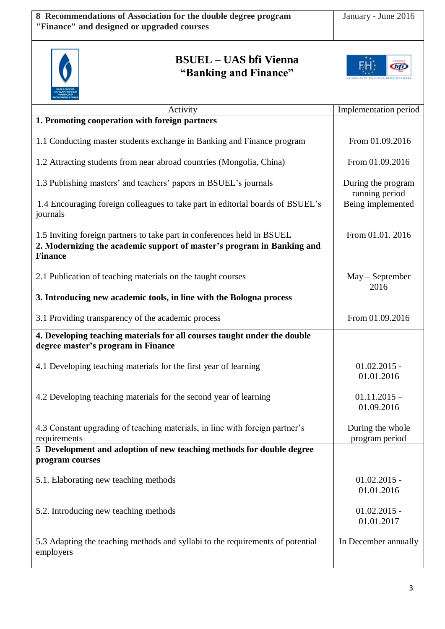

## **BSUEL – UAS bfi Vienna "Banking and Finance"**



| Activity                                                                                                       | Implementation period                |
|----------------------------------------------------------------------------------------------------------------|--------------------------------------|
| 1. Promoting cooperation with foreign partners                                                                 |                                      |
|                                                                                                                |                                      |
| 1.1 Conducting master students exchange in Banking and Finance program                                         | From 01.09.2016                      |
| 1.2 Attracting students from near abroad countries (Mongolia, China)                                           | From 01.09.2016                      |
| 1.3 Publishing masters' and teachers' papers in BSUEL's journals                                               | During the program<br>running period |
| 1.4 Encouraging foreign colleagues to take part in editorial boards of BSUEL's<br>journals                     | Being implemented                    |
| 1.5 Inviting foreign partners to take part in conferences held in BSUEL                                        | From 01.01. 2016                     |
| 2. Modernizing the academic support of master's program in Banking and<br><b>Finance</b>                       |                                      |
| 2.1 Publication of teaching materials on the taught courses                                                    | $May - September$<br>2016            |
| 3. Introducing new academic tools, in line with the Bologna process                                            |                                      |
| 3.1 Providing transparency of the academic process                                                             | From 01.09.2016                      |
| 4. Developing teaching materials for all courses taught under the double<br>degree master's program in Finance |                                      |
| 4.1 Developing teaching materials for the first year of learning                                               | $01.02.2015 -$<br>01.01.2016         |
| 4.2 Developing teaching materials for the second year of learning                                              | $01.11.2015 -$<br>01.09.2016         |
| 4.3 Constant upgrading of teaching materials, in line with foreign partner's<br>requirements                   | During the whole<br>program period   |
| 5 Development and adoption of new teaching methods for double degree<br>program courses                        |                                      |
| 5.1. Elaborating new teaching methods                                                                          | $01.02.2015 -$<br>01.01.2016         |
| 5.2. Introducing new teaching methods                                                                          | $01.02.2015 -$<br>01.01.2017         |
| 5.3 Adapting the teaching methods and syllabi to the requirements of potential<br>employers                    | In December annually                 |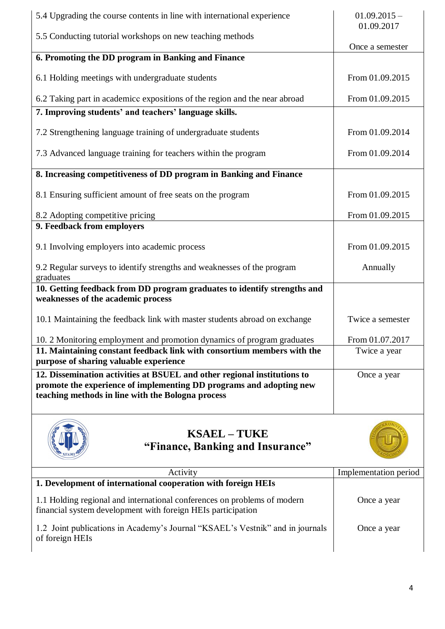| 5.4 Upgrading the course contents in line with international experience                                                                                                                              | $01.09.2015 -$<br>01.09.2017 |
|------------------------------------------------------------------------------------------------------------------------------------------------------------------------------------------------------|------------------------------|
| 5.5 Conducting tutorial workshops on new teaching methods                                                                                                                                            | Once a semester              |
| 6. Promoting the DD program in Banking and Finance                                                                                                                                                   |                              |
| 6.1 Holding meetings with undergraduate students                                                                                                                                                     | From 01.09.2015              |
| 6.2 Taking part in academice expositions of the region and the near abroad                                                                                                                           | From 01.09.2015              |
| 7. Improving students' and teachers' language skills.                                                                                                                                                |                              |
| 7.2 Strengthening language training of undergraduate students                                                                                                                                        | From 01.09.2014              |
| 7.3 Advanced language training for teachers within the program                                                                                                                                       | From 01.09.2014              |
| 8. Increasing competitiveness of DD program in Banking and Finance                                                                                                                                   |                              |
| 8.1 Ensuring sufficient amount of free seats on the program                                                                                                                                          | From 01.09.2015              |
| 8.2 Adopting competitive pricing                                                                                                                                                                     | From 01.09.2015              |
| 9. Feedback from employers                                                                                                                                                                           |                              |
| 9.1 Involving employers into academic process                                                                                                                                                        | From 01.09.2015              |
| 9.2 Regular surveys to identify strengths and weaknesses of the program<br>graduates                                                                                                                 | Annually                     |
| 10. Getting feedback from DD program graduates to identify strengths and                                                                                                                             |                              |
| weaknesses of the academic process                                                                                                                                                                   |                              |
| 10.1 Maintaining the feedback link with master students abroad on exchange                                                                                                                           | Twice a semester             |
| 10. 2 Monitoring employment and promotion dynamics of program graduates                                                                                                                              | From 01.07.2017              |
| 11. Maintaining constant feedback link with consortium members with the<br>purpose of sharing valuable experience                                                                                    | Twice a year                 |
| 12. Dissemination activities at BSUEL and other regional institutions to<br>promote the experience of implementing DD programs and adopting new<br>teaching methods in line with the Bologna process | Once a year                  |



## **KSAEL – TUKE "Finance, Banking and Insurance"**



| Activity                                                                                                                                 | Implementation period |
|------------------------------------------------------------------------------------------------------------------------------------------|-----------------------|
| 1. Development of international cooperation with foreign HEIs                                                                            |                       |
| 1.1 Holding regional and international conferences on problems of modern<br>financial system development with foreign HEIs participation | Once a year           |
| 1.2 Joint publications in Academy's Journal "KSAEL's Vestnik" and in journals<br>of foreign HEIs                                         | Once a year           |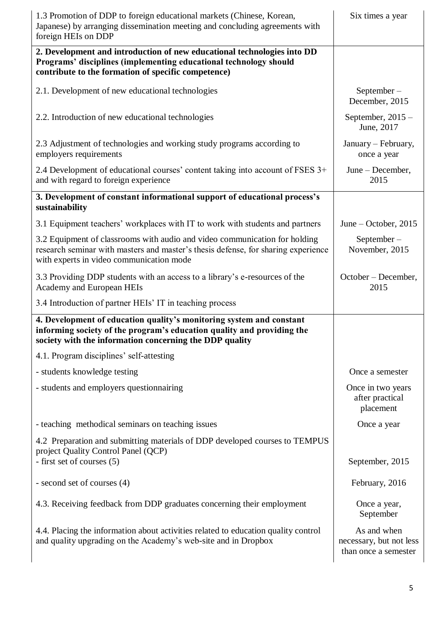| 1.3 Promotion of DDP to foreign educational markets (Chinese, Korean,<br>Japanese) by arranging dissemination meeting and concluding agreements with<br>foreign HEIs on DDP                                 | Six times a year                                               |
|-------------------------------------------------------------------------------------------------------------------------------------------------------------------------------------------------------------|----------------------------------------------------------------|
| 2. Development and introduction of new educational technologies into DD<br>Programs' disciplines (implementing educational technology should<br>contribute to the formation of specific competence)         |                                                                |
| 2.1. Development of new educational technologies                                                                                                                                                            | $September -$<br>December, 2015                                |
| 2.2. Introduction of new educational technologies                                                                                                                                                           | September, $2015 -$<br>June, 2017                              |
| 2.3 Adjustment of technologies and working study programs according to<br>employers requirements                                                                                                            | January - February,<br>once a year                             |
| 2.4 Development of educational courses' content taking into account of FSES 3+<br>and with regard to foreign experience                                                                                     | June - December,<br>2015                                       |
| 3. Development of constant informational support of educational process's<br>sustainability                                                                                                                 |                                                                |
| 3.1 Equipment teachers' workplaces with IT to work with students and partners                                                                                                                               | June – October, $2015$                                         |
| 3.2 Equipment of classrooms with audio and video communication for holding<br>research seminar with masters and master's thesis defense, for sharing experience<br>with experts in video communication mode | $September -$<br>November, 2015                                |
| 3.3 Providing DDP students with an access to a library's e-resources of the<br>Academy and European HEIs                                                                                                    | October – December,<br>2015                                    |
| 3.4 Introduction of partner HEIs' IT in teaching process                                                                                                                                                    |                                                                |
| 4. Development of education quality's monitoring system and constant<br>informing society of the program's education quality and providing the<br>society with the information concerning the DDP quality   |                                                                |
| 4.1. Program disciplines' self-attesting                                                                                                                                                                    |                                                                |
| - students knowledge testing                                                                                                                                                                                | Once a semester                                                |
| - students and employers questionnairing                                                                                                                                                                    | Once in two years<br>after practical<br>placement              |
| - teaching methodical seminars on teaching issues                                                                                                                                                           | Once a year                                                    |
| 4.2 Preparation and submitting materials of DDP developed courses to TEMPUS                                                                                                                                 |                                                                |
| project Quality Control Panel (QCP)<br>- first set of courses (5)                                                                                                                                           | September, 2015                                                |
| - second set of courses (4)                                                                                                                                                                                 | February, 2016                                                 |
| 4.3. Receiving feedback from DDP graduates concerning their employment                                                                                                                                      | Once a year,<br>September                                      |
| 4.4. Placing the information about activities related to education quality control<br>and quality upgrading on the Academy's web-site and in Dropbox                                                        | As and when<br>necessary, but not less<br>than once a semester |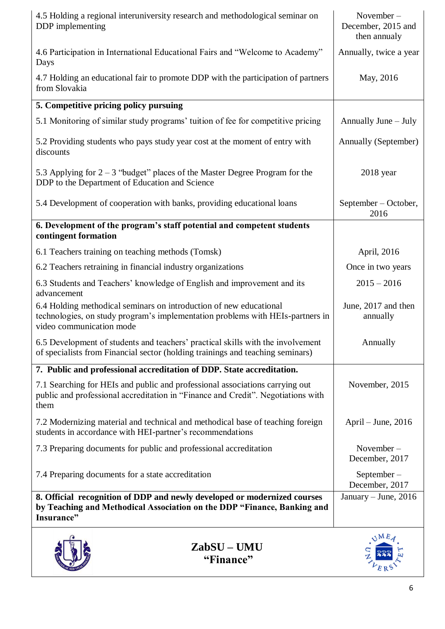| 4.5 Holding a regional interuniversity research and methodological seminar on<br>DDP implementing                                                                                | November-<br>December, 2015 and<br>then annualy |
|----------------------------------------------------------------------------------------------------------------------------------------------------------------------------------|-------------------------------------------------|
| 4.6 Participation in International Educational Fairs and "Welcome to Academy"<br>Days                                                                                            | Annually, twice a year                          |
| 4.7 Holding an educational fair to promote DDP with the participation of partners<br>from Slovakia                                                                               | May, 2016                                       |
| 5. Competitive pricing policy pursuing                                                                                                                                           |                                                 |
| 5.1 Monitoring of similar study programs' tuition of fee for competitive pricing                                                                                                 | Annually June – July                            |
| 5.2 Providing students who pays study year cost at the moment of entry with<br>discounts                                                                                         | Annually (September)                            |
| 5.3 Applying for $2-3$ "budget" places of the Master Degree Program for the<br>DDP to the Department of Education and Science                                                    | $2018$ year                                     |
| 5.4 Development of cooperation with banks, providing educational loans                                                                                                           | September – October,<br>2016                    |
| 6. Development of the program's staff potential and competent students<br>contingent formation                                                                                   |                                                 |
| 6.1 Teachers training on teaching methods (Tomsk)                                                                                                                                | April, 2016                                     |
| 6.2 Teachers retraining in financial industry organizations                                                                                                                      | Once in two years                               |
| 6.3 Students and Teachers' knowledge of English and improvement and its<br>advancement                                                                                           | $2015 - 2016$                                   |
| 6.4 Holding methodical seminars on introduction of new educational<br>technologies, on study program's implementation problems with HEIs-partners in<br>video communication mode | June, 2017 and then<br>annually                 |
| 6.5 Development of students and teachers' practical skills with the involvement<br>of specialists from Financial sector (holding trainings and teaching seminars)                | Annually                                        |
| 7. Public and professional accreditation of DDP. State accreditation.                                                                                                            |                                                 |
| 7.1 Searching for HEIs and public and professional associations carrying out<br>public and professional accreditation in "Finance and Credit". Negotiations with<br>them         | November, 2015                                  |
| 7.2 Modernizing material and technical and methodical base of teaching foreign<br>students in accordance with HEI-partner's recommendations                                      | April – June, 2016                              |
| 7.3 Preparing documents for public and professional accreditation                                                                                                                | November-<br>December, 2017                     |
| 7.4 Preparing documents for a state accreditation                                                                                                                                | September $-$<br>December, 2017                 |
| 8. Official recognition of DDP and newly developed or modernized courses<br>by Teaching and Methodical Association on the DDP "Finance, Banking and<br>Insurance"                | January – June, $2016$                          |
| ZabSU – UMU<br>"Finance"                                                                                                                                                         |                                                 |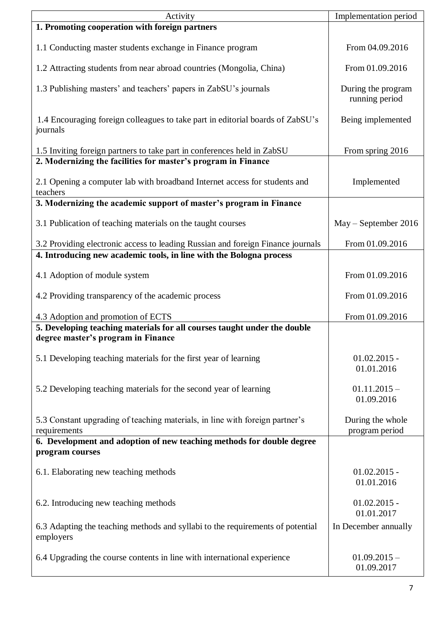| Activity                                                                                                       | Implementation period                |
|----------------------------------------------------------------------------------------------------------------|--------------------------------------|
| 1. Promoting cooperation with foreign partners                                                                 |                                      |
| 1.1 Conducting master students exchange in Finance program                                                     | From 04.09.2016                      |
| 1.2 Attracting students from near abroad countries (Mongolia, China)                                           | From 01.09.2016                      |
| 1.3 Publishing masters' and teachers' papers in ZabSU's journals                                               | During the program<br>running period |
| 1.4 Encouraging foreign colleagues to take part in editorial boards of ZabSU's<br>journals                     | Being implemented                    |
| 1.5 Inviting foreign partners to take part in conferences held in ZabSU                                        | From spring 2016                     |
| 2. Modernizing the facilities for master's program in Finance                                                  |                                      |
| 2.1 Opening a computer lab with broadband Internet access for students and<br>teachers                         | Implemented                          |
| 3. Modernizing the academic support of master's program in Finance                                             |                                      |
| 3.1 Publication of teaching materials on the taught courses                                                    | May – September 2016                 |
| 3.2 Providing electronic access to leading Russian and foreign Finance journals                                | From 01.09.2016                      |
| 4. Introducing new academic tools, in line with the Bologna process                                            |                                      |
| 4.1 Adoption of module system                                                                                  | From 01.09.2016                      |
| 4.2 Providing transparency of the academic process                                                             | From 01.09.2016                      |
| 4.3 Adoption and promotion of ECTS                                                                             | From 01.09.2016                      |
| 5. Developing teaching materials for all courses taught under the double<br>degree master's program in Finance |                                      |
| 5.1 Developing teaching materials for the first year of learning                                               | $01.02.2015 -$<br>01.01.2016         |
| 5.2 Developing teaching materials for the second year of learning                                              | $01.11.2015 -$<br>01.09.2016         |
| 5.3 Constant upgrading of teaching materials, in line with foreign partner's<br>requirements                   | During the whole<br>program period   |
| 6. Development and adoption of new teaching methods for double degree<br>program courses                       |                                      |
| 6.1. Elaborating new teaching methods                                                                          | $01.02.2015 -$<br>01.01.2016         |
| 6.2. Introducing new teaching methods                                                                          | $01.02.2015 -$<br>01.01.2017         |
| 6.3 Adapting the teaching methods and syllabi to the requirements of potential<br>employers                    | In December annually                 |
| 6.4 Upgrading the course contents in line with international experience                                        | $01.09.2015 -$<br>01.09.2017         |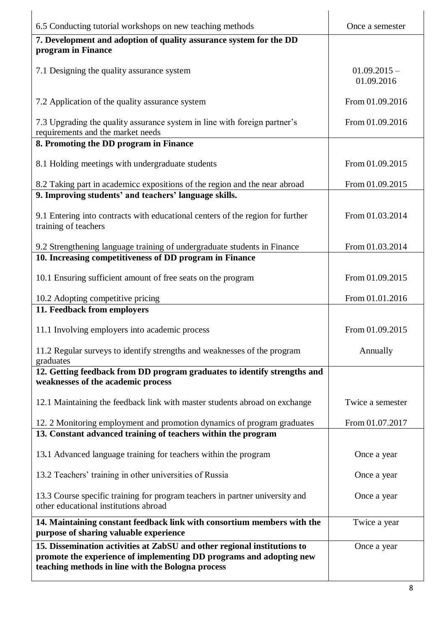| 6.5 Conducting tutorial workshops on new teaching methods                                                                                                                                            | Once a semester              |
|------------------------------------------------------------------------------------------------------------------------------------------------------------------------------------------------------|------------------------------|
| 7. Development and adoption of quality assurance system for the DD<br>program in Finance                                                                                                             |                              |
| 7.1 Designing the quality assurance system                                                                                                                                                           | $01.09.2015 -$<br>01.09.2016 |
| 7.2 Application of the quality assurance system                                                                                                                                                      | From 01.09.2016              |
| 7.3 Upgrading the quality assurance system in line with foreign partner's<br>requirements and the market needs                                                                                       | From 01.09.2016              |
| 8. Promoting the DD program in Finance                                                                                                                                                               |                              |
| 8.1 Holding meetings with undergraduate students                                                                                                                                                     | From 01.09.2015              |
| 8.2 Taking part in academicc expositions of the region and the near abroad                                                                                                                           | From 01.09.2015              |
| 9. Improving students' and teachers' language skills.                                                                                                                                                |                              |
| 9.1 Entering into contracts with educational centers of the region for further<br>training of teachers                                                                                               | From 01.03.2014              |
| 9.2 Strengthening language training of undergraduate students in Finance<br>10. Increasing competitiveness of DD program in Finance                                                                  | From 01.03.2014              |
| 10.1 Ensuring sufficient amount of free seats on the program                                                                                                                                         | From 01.09.2015              |
| 10.2 Adopting competitive pricing                                                                                                                                                                    | From 01.01.2016              |
| 11. Feedback from employers                                                                                                                                                                          |                              |
| 11.1 Involving employers into academic process                                                                                                                                                       | From 01.09.2015              |
| 11.2 Regular surveys to identify strengths and weaknesses of the program<br>graduates                                                                                                                | Annually                     |
| 12. Getting feedback from DD program graduates to identify strengths and<br>weaknesses of the academic process                                                                                       |                              |
| 12.1 Maintaining the feedback link with master students abroad on exchange                                                                                                                           | Twice a semester             |
| 12. 2 Monitoring employment and promotion dynamics of program graduates                                                                                                                              | From 01.07.2017              |
| 13. Constant advanced training of teachers within the program                                                                                                                                        |                              |
| 13.1 Advanced language training for teachers within the program                                                                                                                                      | Once a year                  |
| 13.2 Teachers' training in other universities of Russia                                                                                                                                              | Once a year                  |
| 13.3 Course specific training for program teachers in partner university and<br>other educational institutions abroad                                                                                | Once a year                  |
| 14. Maintaining constant feedback link with consortium members with the<br>purpose of sharing valuable experience                                                                                    | Twice a year                 |
| 15. Dissemination activities at ZabSU and other regional institutions to<br>promote the experience of implementing DD programs and adopting new<br>teaching methods in line with the Bologna process | Once a year                  |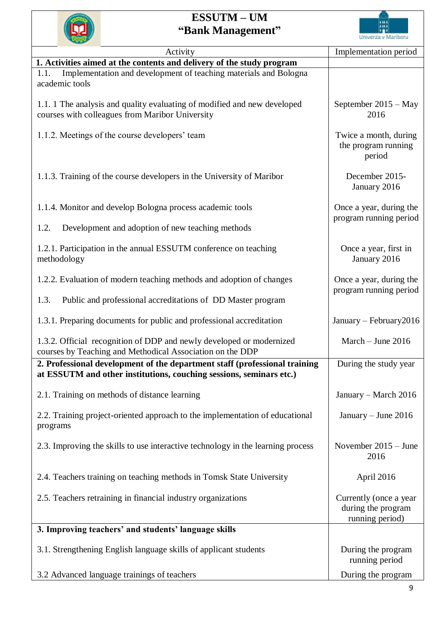## **ESSUTM – UM "Bank Management"**



| Activity                                                                                                                                          | Implementation period                                           |
|---------------------------------------------------------------------------------------------------------------------------------------------------|-----------------------------------------------------------------|
| 1. Activities aimed at the contents and delivery of the study program                                                                             |                                                                 |
| Implementation and development of teaching materials and Bologna<br>1.1.<br>academic tools                                                        |                                                                 |
| 1.1.1 The analysis and quality evaluating of modified and new developed<br>courses with colleagues from Maribor University                        | September 2015 - May<br>2016                                    |
| 1.1.2. Meetings of the course developers' team                                                                                                    | Twice a month, during<br>the program running<br>period          |
| 1.1.3. Training of the course developers in the University of Maribor                                                                             | December 2015-<br>January 2016                                  |
| 1.1.4. Monitor and develop Bologna process academic tools                                                                                         | Once a year, during the<br>program running period               |
| 1.2.<br>Development and adoption of new teaching methods                                                                                          |                                                                 |
| 1.2.1. Participation in the annual ESSUTM conference on teaching<br>methodology                                                                   | Once a year, first in<br>January 2016                           |
| 1.2.2. Evaluation of modern teaching methods and adoption of changes                                                                              | Once a year, during the<br>program running period               |
| Public and professional accreditations of DD Master program<br>1.3.                                                                               |                                                                 |
| 1.3.1. Preparing documents for public and professional accreditation                                                                              | January - February 2016                                         |
| 1.3.2. Official recognition of DDP and newly developed or modernized<br>courses by Teaching and Methodical Association on the DDP                 | March - June 2016                                               |
| 2. Professional development of the department staff (professional training<br>at ESSUTM and other institutions, couching sessions, seminars etc.) | During the study year                                           |
| 2.1. Training on methods of distance learning                                                                                                     | January - March 2016                                            |
| 2.2. Training project-oriented approach to the implementation of educational<br>programs                                                          | January - June 2016                                             |
| 2.3. Improving the skills to use interactive technology in the learning process                                                                   | November $2015 -$ June<br>2016                                  |
| 2.4. Teachers training on teaching methods in Tomsk State University                                                                              | April 2016                                                      |
| 2.5. Teachers retraining in financial industry organizations                                                                                      | Currently (once a year<br>during the program<br>running period) |
| 3. Improving teachers' and students' language skills                                                                                              |                                                                 |
| 3.1. Strengthening English language skills of applicant students                                                                                  | During the program<br>running period                            |
| 3.2 Advanced language trainings of teachers                                                                                                       | During the program                                              |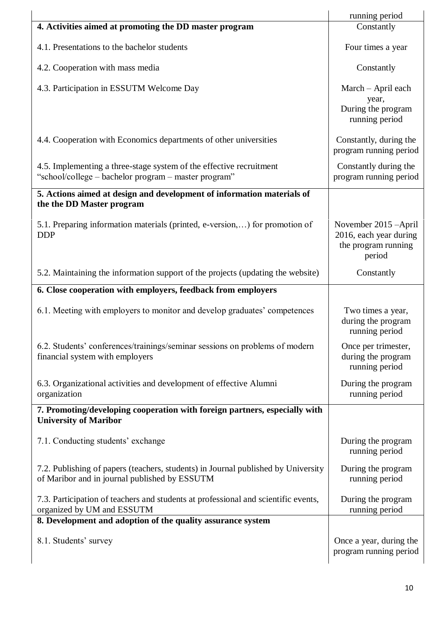|                                                                                                                                    | running period                                                                   |
|------------------------------------------------------------------------------------------------------------------------------------|----------------------------------------------------------------------------------|
| 4. Activities aimed at promoting the DD master program                                                                             | Constantly                                                                       |
| 4.1. Presentations to the bachelor students                                                                                        | Four times a year                                                                |
| 4.2. Cooperation with mass media                                                                                                   | Constantly                                                                       |
| 4.3. Participation in ESSUTM Welcome Day                                                                                           | March - April each<br>year,                                                      |
|                                                                                                                                    | During the program<br>running period                                             |
| 4.4. Cooperation with Economics departments of other universities                                                                  | Constantly, during the<br>program running period                                 |
| 4.5. Implementing a three-stage system of the effective recruitment<br>"school/college – bachelor program – master program"        | Constantly during the<br>program running period                                  |
| 5. Actions aimed at design and development of information materials of<br>the the DD Master program                                |                                                                                  |
| 5.1. Preparing information materials (printed, e-version,) for promotion of<br><b>DDP</b>                                          | November 2015 - April<br>2016, each year during<br>the program running<br>period |
| 5.2. Maintaining the information support of the projects (updating the website)                                                    | Constantly                                                                       |
| 6. Close cooperation with employers, feedback from employers                                                                       |                                                                                  |
| 6.1. Meeting with employers to monitor and develop graduates' competences                                                          | Two times a year,<br>during the program<br>running period                        |
| 6.2. Students' conferences/trainings/seminar sessions on problems of modern<br>financial system with employers                     | Once per trimester,<br>during the program<br>running period                      |
| 6.3. Organizational activities and development of effective Alumni<br>organization                                                 | During the program<br>running period                                             |
| 7. Promoting/developing cooperation with foreign partners, especially with<br><b>University of Maribor</b>                         |                                                                                  |
| 7.1. Conducting students' exchange                                                                                                 | During the program<br>running period                                             |
| 7.2. Publishing of papers (teachers, students) in Journal published by University<br>of Maribor and in journal published by ESSUTM | During the program<br>running period                                             |
| 7.3. Participation of teachers and students at professional and scientific events,<br>organized by UM and ESSUTM                   | During the program<br>running period                                             |
| 8. Development and adoption of the quality assurance system                                                                        |                                                                                  |
| 8.1. Students' survey                                                                                                              | Once a year, during the<br>program running period                                |